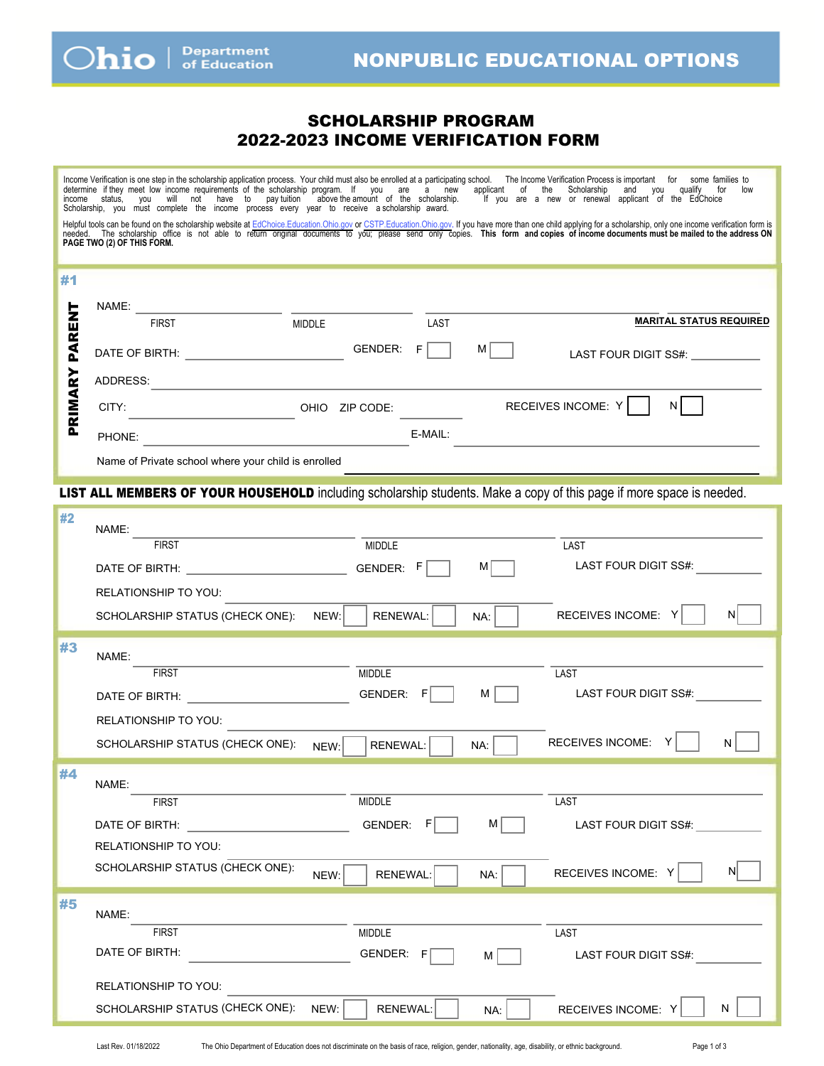## SCHOLARSHIP PROGRAM 2022-2023 INCOME VERIFICATION FORM

<span id="page-0-0"></span>Income Verritcation is one step in the scholarship application process. Your child must also be enrolled at a participating school. In e income Verritcation Process is important for some families to<br>determine if they meet Scholarship, you must complete the income process every year to receive a scholarship award. c a new or renewar approant or the Luci Helptul tools can be found on the scholarship website at [EdChoice.Education.Ohio.gov](http://education.ohio.gov/Topics/Other-Resources/Scholarships/EdChoice-Scholarship-Program) or [CSTP.Education.Ohio.gov.](http://education.ohio.gov/Topics/Other-Resources/Scholarships/Cleveland-Scholarship-Tutoring-Program) If you have more than one child applying for a scholarship, only one income verification form is<br>needed. The #1 PRIMARY PARENT NAME: ۳ i<br>Li **MARITAL STATUS REQUIRED** FIRST NIDDLE LAST PARI DATE OF BIRTH:  $\begin{array}{ccc}\n & \text{GENDER:} & \text{F} \\
\hline\n\end{array}$  M  $\begin{array}{ccc}\n\end{array}$  LAST FOUR DIGIT SS#: RIMARY ADDRESS: OHIO ZIP CODE: RECEIVES INCOME: Y N  $\mathbf{a}$ PHONE: E-MAIL: Name of Private school where your child is enrolled LIST ALL MEMBERS OF YOUR HOUSEHOLD including scholarship students. Make a copy of this page if more space is needed. #2 NAME: FIRST MIDDLE LAST DATE OF BIRTH:  $\begin{array}{ccc} \text{0.13}\end{array}$  GENDER: F M M GENER: LAST FOUR DIGIT SS#: RELATIONSHIP TO YOU: SCHOLARSHIP STATUS (CHECK ONE): NEW: RENEWAL: NA: RECEIVES INCOME: Y N #3 NAME: FIRST NUMBER AND MIDDLE THIS IS A RESERVE TO A LAST DATE OF BIRTH:  $\begin{array}{ccc} \texttt{C} & \texttt{GENDER:} & \texttt{F} \end{array}$  M  $\begin{array}{ccc} \texttt{M} & \texttt{M} \end{array}$  LAST FOUR DIGIT SS#: RELATIONSHIP TO YOU: SCHOLARSHIP STATUS (CHECK ONE):  $N$ <sub>NEW:</sub> RENEWAL:  $\Box$  NA: RECEIVES INCOME: Y | N #4 NAME: FIRST MIDDLE LAST DATE OF BIRTH:  $\overline{G}$  GENDER:  $F \overline{M}$  M LAST FOUR DIGIT SS#:

SCHOLARSHIP STATUS (CHECK ONE):  $N$  NEW: RENEWAL:  $\begin{array}{|c|c|c|c|c|}\hline \text{N}}\text{A}: & \text{N}}\ \hline \text{N}}\text{B}: & \text{N}}\ \hline \text{N}}\ \hline \text{N}: & \text{N}}\ \hline \text{N}: & \text{N}}\ \hline \text{N}: & \text{N}}\ \hline \text{N}: & \text{N}}\ \hline \text{N}: & \text{N}}\ \hline \text{N}: & \text{N}}\ \hline \text{N}: & \text{N}}\$ #5 NAME: FIRST MIDDLE LAST DATE OF BIRTH:  $GENDER: F \t M \t M \t M$  LAST FOUR DIGIT SS#: RELATIONSHIP TO YOU: SCHOLARSHIP STATUS (CHECK ONE): NEW: RENEWAL: NA: RECEIVES INCOME: Y N

RELATIONSHIP TO YOU: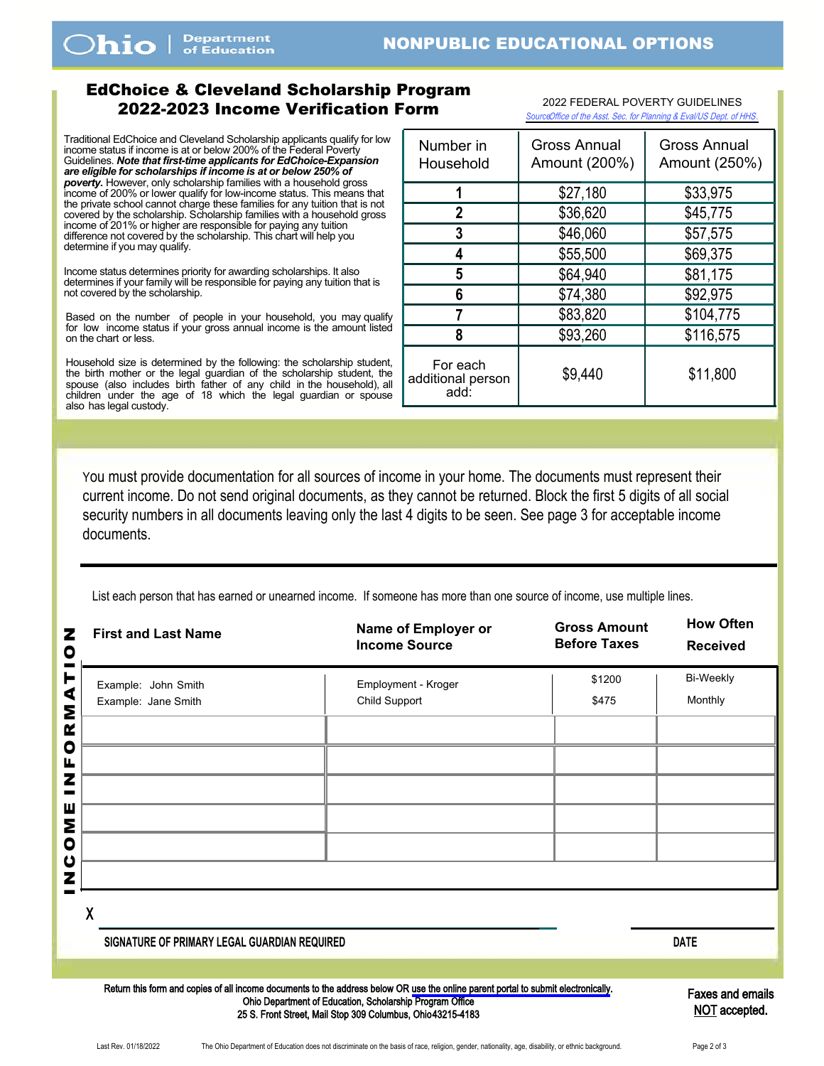<span id="page-1-0"></span>Dhio

## EdChoice & Cleveland Scholarship Program 2022-2023 Income Verification Form <sup>20</sup>22 FEDERAL POVERTY GUIDELINES

Traditional EdChoice and Cleveland Scholarship applicants qualify for low income status if income is at or below 200% of the Federal Poverty Guidelines. *Note that first-time applicants for EdChoice-Expansion are eligible for scholarships if income is at or below 250% of poverty.* However, only scholarship families with a household gross income of 200% or lower qualify for low-income status. This means that the private school cannot charge these families for any tuition that is not covered by the scholarship. Scholarship families with a household gross income of 201% or higher are responsible for paying any tuition difference not covered by the scholarship. This chart will help you determine if you may qualify.

Income status determines priority for awarding scholarships. It also determines if your family will be responsible for paying any tuition that is not covered by the scholarship.

Based on the number of people in your household, you may qualify for low income status if your gross annual income is the amount listed on the chart or less.

Household size is determined by the following: the scholarship student, the birth mother or the legal guardian of the scholarship student, the spouse (also includes birth father of any child in the household), all children under the age of 18 which the legal guardian or spouse also has legal custody.

| Number in<br>Household                | <b>Gross Annual</b><br>Amount (200%) | Gross Annual<br>Amount (250%) |  |  |
|---------------------------------------|--------------------------------------|-------------------------------|--|--|
|                                       | \$27,180                             | \$33,975                      |  |  |
| 2                                     | \$36,620                             | \$45,775                      |  |  |
| 3                                     | \$46,060                             | \$57,575                      |  |  |
|                                       | \$55,500                             | \$69,375                      |  |  |
| 5                                     | \$64,940                             | \$81,175                      |  |  |
| 6                                     | \$74,380                             | \$92,975                      |  |  |
|                                       | \$83,820                             | \$104,775                     |  |  |
| 8                                     | \$93,260                             | \$116,575                     |  |  |
| For each<br>additional person<br>add: | \$9,440                              | \$11,800                      |  |  |

*Source:*[Office of the Asst. Sec. for Planning & Eval/US Dept. of HHS](https://aspe.hhs.gov/poverty-guidelines)*.*

You must provide documentation for all sources of income in your home. The documents must represent their current income. Do not send original documents, as they cannot be returned. Block the first 5 digits of all social security numbers in all documents leaving only the last 4 digits to be seen. See page 3 for acceptable income documents.

List each person that has earned or unearned income. If someone has more than one source of income, use multiple lines.

| <b>First and Last Name</b>                                                                                                         | Name of Employer or<br><b>Income Source</b> | <b>Gross Amount</b><br><b>Before Taxes</b> | <b>How Often</b><br><b>Received</b> |
|------------------------------------------------------------------------------------------------------------------------------------|---------------------------------------------|--------------------------------------------|-------------------------------------|
| Example: John Smith<br>Example: Jane Smith                                                                                         | Employment - Kroger<br>Child Support        | \$1200<br>\$475                            | <b>Bi-Weekly</b><br>Monthly         |
|                                                                                                                                    |                                             |                                            |                                     |
|                                                                                                                                    |                                             |                                            |                                     |
|                                                                                                                                    |                                             |                                            |                                     |
| χ                                                                                                                                  |                                             |                                            |                                     |
| SIGNATURE OF PRIMARY LEGAL GUARDIAN REQUIRED                                                                                       |                                             |                                            | <b>DATE</b>                         |
| Return this form and copies of all income documents to the address below OR use the online parent portal to submit electronically. |                                             |                                            | <b>Eaves and emails</b>             |

Ohio Department of Education, Scholarship Program Office 25 S. Front Street, Mail Stop 309 Columbus, Ohio 43215-4183 axes and em NOT accepted.